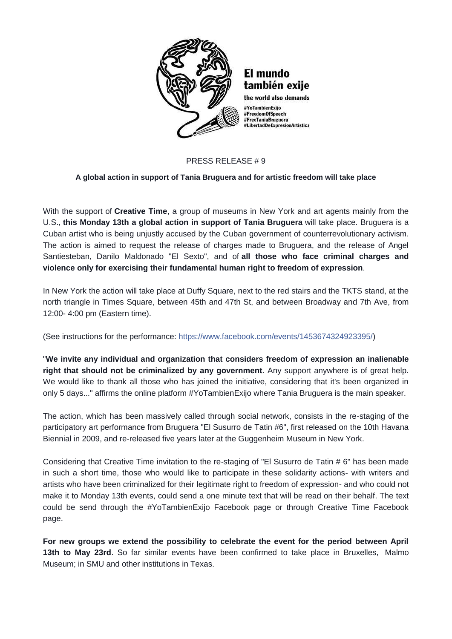

## PRESS RELEASE # 9

## **A global action in support of Tania Bruguera and for artistic freedom will take place**

With the support of **Creative Time**, a group of museums in New York and art agents mainly from the U.S., **this Monday 13th a global action in support of Tania Bruguera** will take place. Bruguera is a Cuban artist who is being unjustly accused by the Cuban government of counterrevolutionary activism. The action is aimed to request the release of charges made to Bruguera, and the release of Angel Santiesteban, Danilo Maldonado "El Sexto", and of **all those who face criminal charges and violence only for exercising their fundamental human right to freedom of expression**.

In New York the action will take place at Duffy Square, next to the red stairs and the TKTS stand, at the north triangle in Times Square, between 45th and 47th St, and between Broadway and 7th Ave, from 12:00- 4:00 pm (Eastern time).

(See instructions for the performance: [https://www.facebook.com/events/1453674324923395/\)](https://www.facebook.com/events/1453674324923395/)

"**We invite any individual and organization that considers freedom of expression an inalienable right that should not be criminalized by any government**. Any support anywhere is of great help. We would like to thank all those who has joined the initiative, considering that it's been organized in only 5 days..." affirms the online platform #YoTambienExijo where Tania Bruguera is the main speaker.

The action, which has been massively called through social network, consists in the re-staging of the participatory art performance from Bruguera "El Susurro de Tatin #6", first released on the 10th Havana Biennial in 2009, and re-released five years later at the Guggenheim Museum in New York.

Considering that Creative Time invitation to the re-staging of "El Susurro de Tatin # 6" has been made in such a short time, those who would like to participate in these solidarity actions- with writers and artists who have been criminalized for their legitimate right to freedom of expression- and who could not make it to Monday 13th events, could send a one minute text that will be read on their behalf. The text could be send through the #YoTambienExijo Facebook page or through Creative Time Facebook page.

**For new groups we extend the possibility to celebrate the event for the period between April 13th to May 23rd**. So far similar events have been confirmed to take place in Bruxelles, Malmo Museum; in SMU and other institutions in Texas.